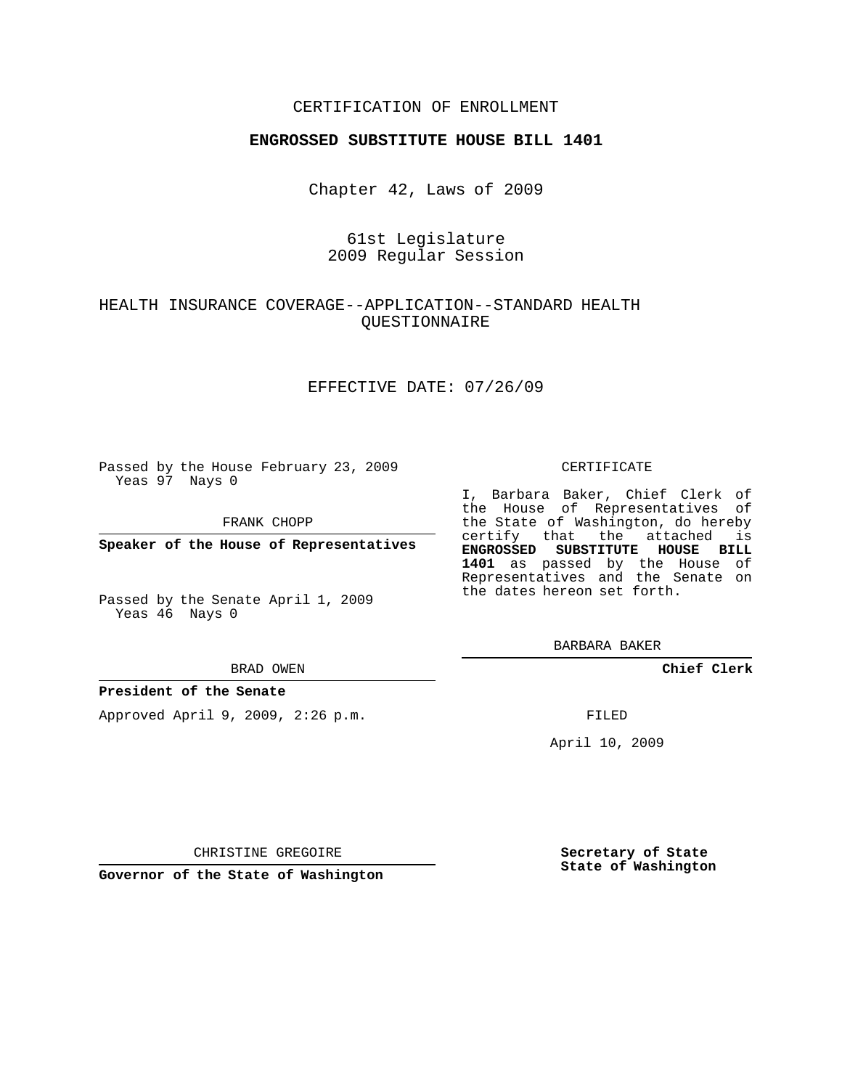## CERTIFICATION OF ENROLLMENT

### **ENGROSSED SUBSTITUTE HOUSE BILL 1401**

Chapter 42, Laws of 2009

## 61st Legislature 2009 Regular Session

# HEALTH INSURANCE COVERAGE--APPLICATION--STANDARD HEALTH QUESTIONNAIRE

### EFFECTIVE DATE: 07/26/09

Passed by the House February 23, 2009 Yeas 97 Nays 0

FRANK CHOPP

**Speaker of the House of Representatives**

Passed by the Senate April 1, 2009 Yeas 46 Nays 0

#### BRAD OWEN

### **President of the Senate**

Approved April 9, 2009, 2:26 p.m.

### CERTIFICATE

I, Barbara Baker, Chief Clerk of the House of Representatives of the State of Washington, do hereby certify that the attached is **ENGROSSED SUBSTITUTE HOUSE BILL 1401** as passed by the House of Representatives and the Senate on the dates hereon set forth.

BARBARA BAKER

**Chief Clerk**

FILED

April 10, 2009

CHRISTINE GREGOIRE

**Governor of the State of Washington**

**Secretary of State State of Washington**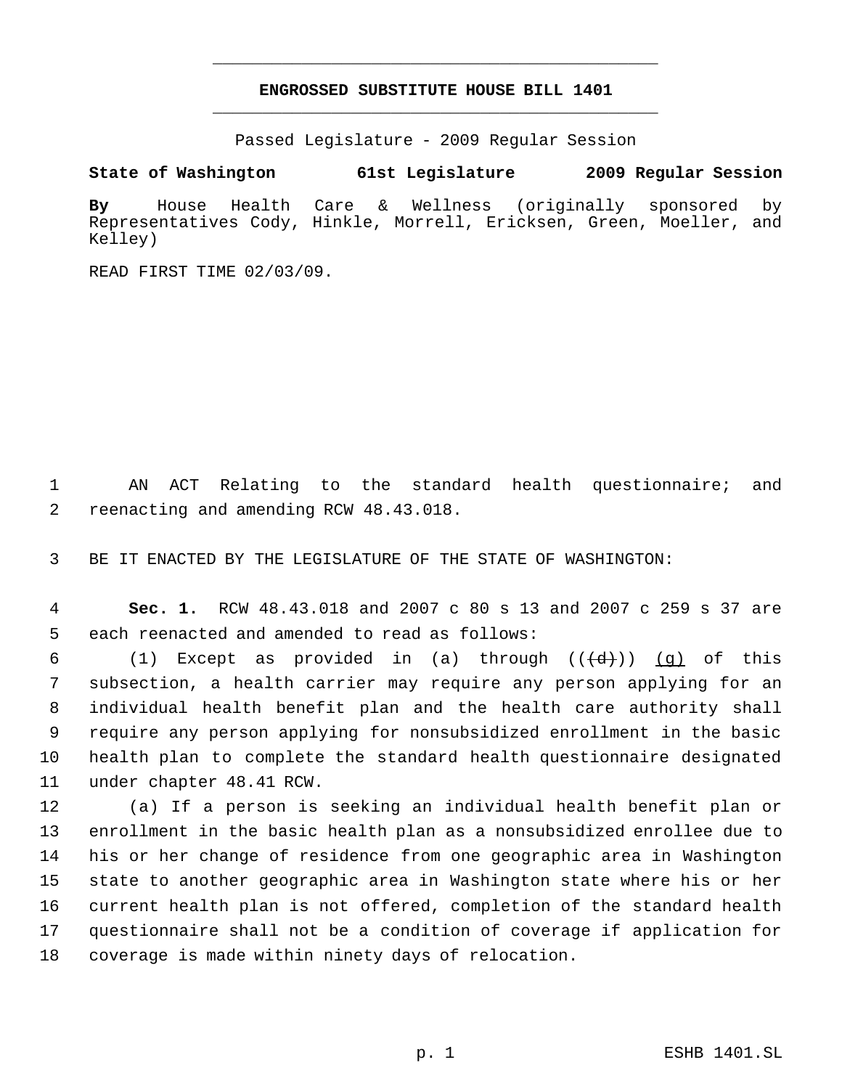# **ENGROSSED SUBSTITUTE HOUSE BILL 1401** \_\_\_\_\_\_\_\_\_\_\_\_\_\_\_\_\_\_\_\_\_\_\_\_\_\_\_\_\_\_\_\_\_\_\_\_\_\_\_\_\_\_\_\_\_

\_\_\_\_\_\_\_\_\_\_\_\_\_\_\_\_\_\_\_\_\_\_\_\_\_\_\_\_\_\_\_\_\_\_\_\_\_\_\_\_\_\_\_\_\_

Passed Legislature - 2009 Regular Session

# **State of Washington 61st Legislature 2009 Regular Session**

**By** House Health Care & Wellness (originally sponsored by Representatives Cody, Hinkle, Morrell, Ericksen, Green, Moeller, and Kelley)

READ FIRST TIME 02/03/09.

 AN ACT Relating to the standard health questionnaire; and reenacting and amending RCW 48.43.018.

BE IT ENACTED BY THE LEGISLATURE OF THE STATE OF WASHINGTON:

 **Sec. 1.** RCW 48.43.018 and 2007 c 80 s 13 and 2007 c 259 s 37 are each reenacted and amended to read as follows:

6 (1) Except as provided in (a) through  $((\{d\})$  (g) of this subsection, a health carrier may require any person applying for an individual health benefit plan and the health care authority shall require any person applying for nonsubsidized enrollment in the basic health plan to complete the standard health questionnaire designated under chapter 48.41 RCW.

 (a) If a person is seeking an individual health benefit plan or enrollment in the basic health plan as a nonsubsidized enrollee due to his or her change of residence from one geographic area in Washington state to another geographic area in Washington state where his or her current health plan is not offered, completion of the standard health questionnaire shall not be a condition of coverage if application for coverage is made within ninety days of relocation.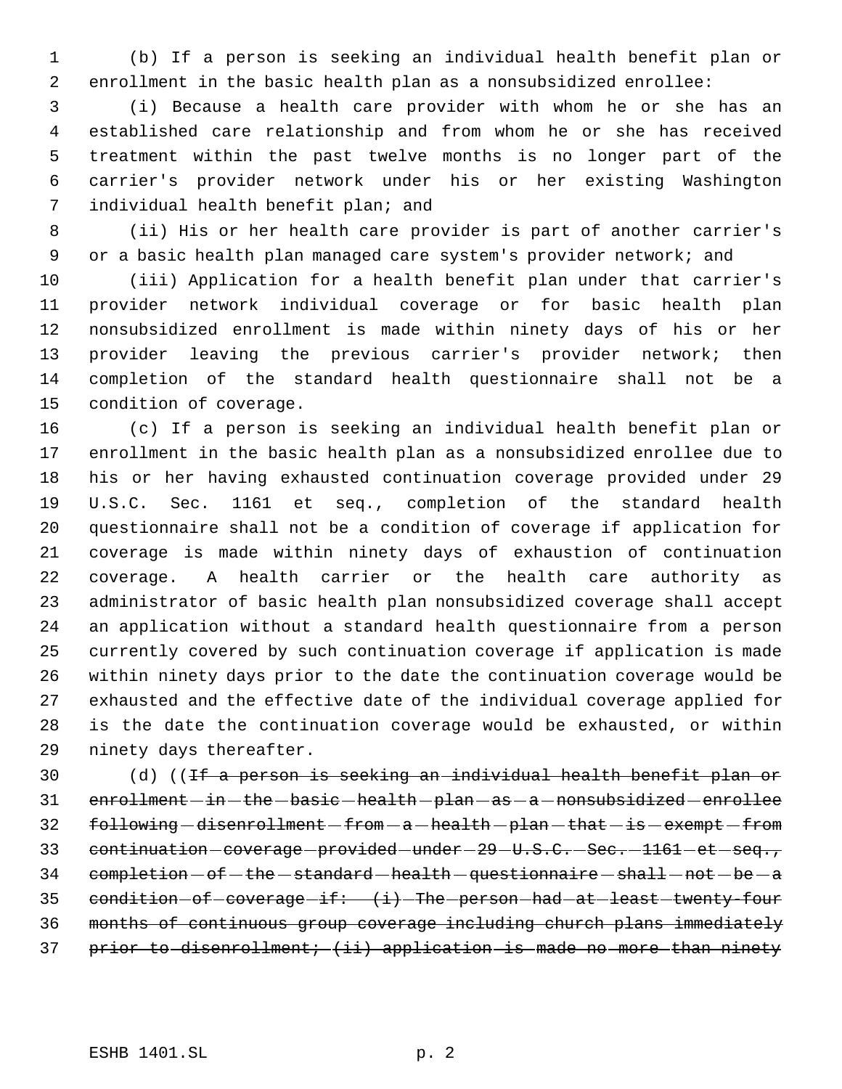(b) If a person is seeking an individual health benefit plan or enrollment in the basic health plan as a nonsubsidized enrollee:

 (i) Because a health care provider with whom he or she has an established care relationship and from whom he or she has received treatment within the past twelve months is no longer part of the carrier's provider network under his or her existing Washington individual health benefit plan; and

 (ii) His or her health care provider is part of another carrier's or a basic health plan managed care system's provider network; and

 (iii) Application for a health benefit plan under that carrier's provider network individual coverage or for basic health plan nonsubsidized enrollment is made within ninety days of his or her provider leaving the previous carrier's provider network; then completion of the standard health questionnaire shall not be a condition of coverage.

 (c) If a person is seeking an individual health benefit plan or enrollment in the basic health plan as a nonsubsidized enrollee due to his or her having exhausted continuation coverage provided under 29 U.S.C. Sec. 1161 et seq., completion of the standard health questionnaire shall not be a condition of coverage if application for coverage is made within ninety days of exhaustion of continuation coverage. A health carrier or the health care authority as administrator of basic health plan nonsubsidized coverage shall accept an application without a standard health questionnaire from a person currently covered by such continuation coverage if application is made within ninety days prior to the date the continuation coverage would be exhausted and the effective date of the individual coverage applied for is the date the continuation coverage would be exhausted, or within ninety days thereafter.

30 (d) ((<del>If a person is seeking an individual health benefit plan or</del> 31 enrollment - in - the - basic - health - plan - as - a - nonsubsidized - enrollee 32 following -disenrollment -from - a -health - plan - that - is - exempt -from 33 continuation-coverage-provided-under-29-U.S.C.-Sec.-1161-et-seq., completion  $-$  of  $-$  the  $-$  standard  $-$  health  $-$  questionnaire  $-$  shall  $-$  not  $-$  be  $-$  a 35 condition of coverage if:  $(i)$  The person had at least twenty four months of continuous group coverage including church plans immediately 37 prior to disenrollment; (ii) application is made no more than ninety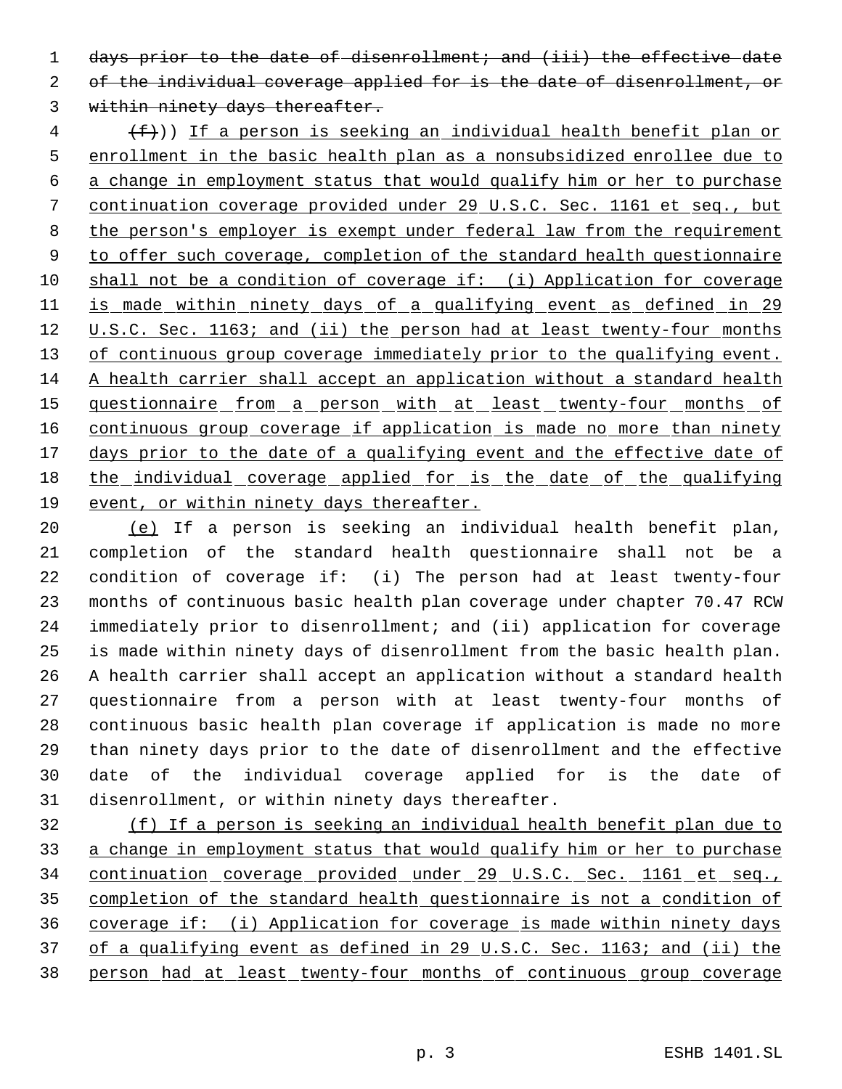1 days prior to the date of disenrollment; and (iii) the effective date 2 of the individual coverage applied for is the date of disenrollment, or

within ninety days thereafter.

 $\{\text{f}\}\$ )) If a person is seeking an individual health benefit plan or enrollment in the basic health plan as a nonsubsidized enrollee due to a change in employment status that would qualify him or her to purchase continuation coverage provided under 29 U.S.C. Sec. 1161 et seq., but the person's employer is exempt under federal law from the requirement 9 to offer such coverage, completion of the standard health questionnaire shall not be a condition of coverage if: (i) Application for coverage is made within ninety days of a qualifying event as defined in 29 12 U.S.C. Sec. 1163; and (ii) the person had at least twenty-four months 13 of continuous group coverage immediately prior to the qualifying event. A health carrier shall accept an application without a standard health 15 questionnaire from a person with at least twenty-four months of 16 continuous group coverage if application is made no more than ninety 17 days prior to the date of a qualifying event and the effective date of the individual coverage applied for is the date of the qualifying event, or within ninety days thereafter.

 (e) If a person is seeking an individual health benefit plan, completion of the standard health questionnaire shall not be a condition of coverage if: (i) The person had at least twenty-four months of continuous basic health plan coverage under chapter 70.47 RCW immediately prior to disenrollment; and (ii) application for coverage is made within ninety days of disenrollment from the basic health plan. A health carrier shall accept an application without a standard health questionnaire from a person with at least twenty-four months of continuous basic health plan coverage if application is made no more than ninety days prior to the date of disenrollment and the effective date of the individual coverage applied for is the date of disenrollment, or within ninety days thereafter.

 (f) If a person is seeking an individual health benefit plan due to a change in employment status that would qualify him or her to purchase 34 continuation coverage provided under 29 U.S.C. Sec. 1161 et seq., completion of the standard health questionnaire is not a condition of coverage if: (i) Application for coverage is made within ninety days of a qualifying event as defined in 29 U.S.C. Sec. 1163; and (ii) the person had at least twenty-four months of continuous group coverage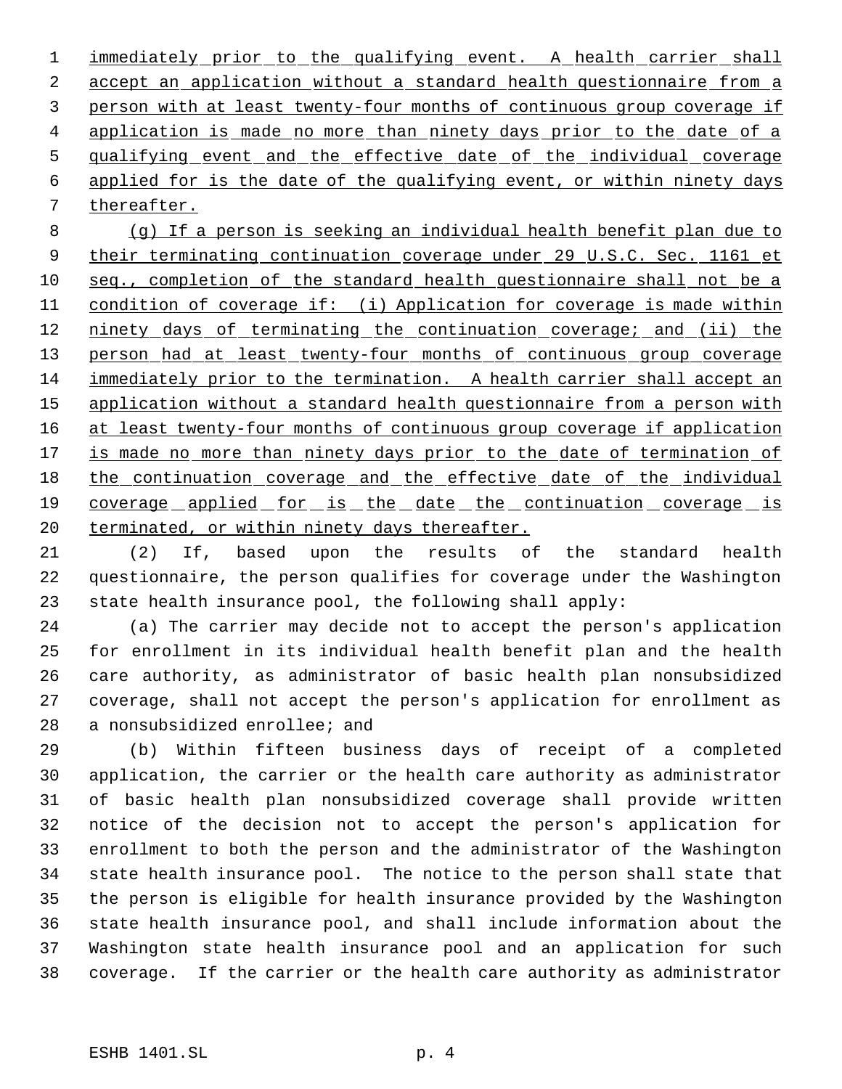immediately prior to the qualifying event. A health carrier shall accept an application without a standard health questionnaire from a person with at least twenty-four months of continuous group coverage if 4 application is made no more than ninety days prior to the date of a 5 qualifying event and the effective date of the individual coverage applied for is the date of the qualifying event, or within ninety days thereafter.

 (g) If a person is seeking an individual health benefit plan due to 9 their terminating continuation coverage under 29 U.S.C. Sec. 1161 et seq., completion of the standard health questionnaire shall not be a condition of coverage if: (i) Application for coverage is made within 12 ninety days of terminating the continuation coverage; and (ii) the 13 person had at least twenty-four months of continuous group coverage immediately prior to the termination. A health carrier shall accept an application without a standard health questionnaire from a person with 16 at least twenty-four months of continuous group coverage if application 17 is made no more than ninety days prior to the date of termination of the continuation coverage and the effective date of the individual 19 coverage applied for is the date the continuation coverage is 20 terminated, or within ninety days thereafter.

 (2) If, based upon the results of the standard health questionnaire, the person qualifies for coverage under the Washington state health insurance pool, the following shall apply:

 (a) The carrier may decide not to accept the person's application for enrollment in its individual health benefit plan and the health care authority, as administrator of basic health plan nonsubsidized coverage, shall not accept the person's application for enrollment as a nonsubsidized enrollee; and

 (b) Within fifteen business days of receipt of a completed application, the carrier or the health care authority as administrator of basic health plan nonsubsidized coverage shall provide written notice of the decision not to accept the person's application for enrollment to both the person and the administrator of the Washington state health insurance pool. The notice to the person shall state that the person is eligible for health insurance provided by the Washington state health insurance pool, and shall include information about the Washington state health insurance pool and an application for such coverage. If the carrier or the health care authority as administrator